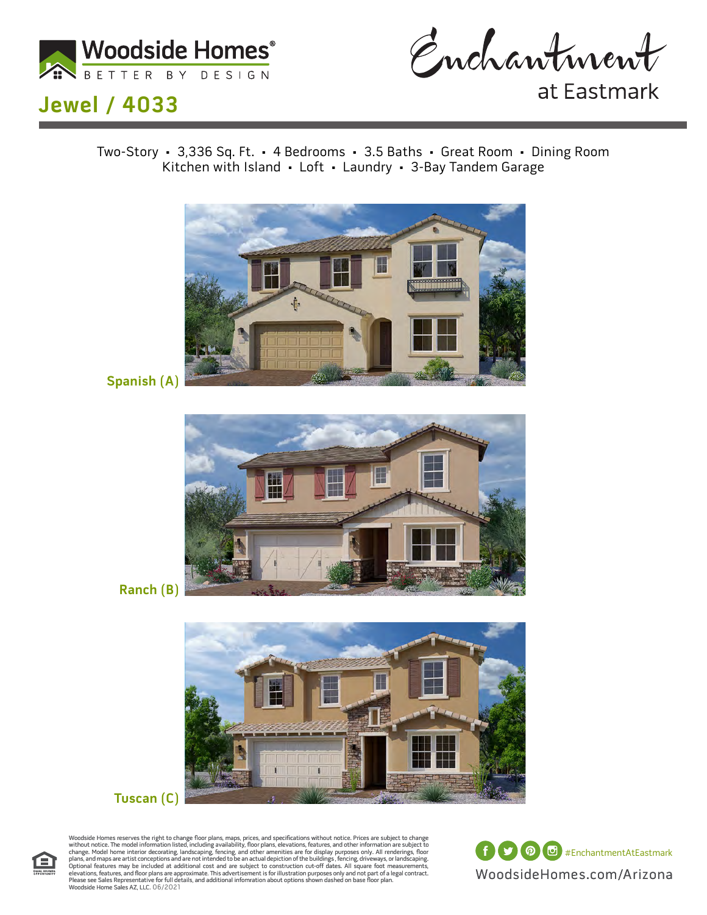



at Eastmark

Two-Story • 3,336 Sq. Ft. • 4 Bedrooms • 3.5 Baths • Great Room • Dining Room Kitchen with Island • Loft • Laundry • 3-Bay Tandem Garage



**Spanish (A)**



**Ranch (B)**





Woodside Homes reserves the right to change floor plans, maps, prices, and specifications without notice. Prices are subject to change without notice. The model information listed, including availability, floor plans, elev

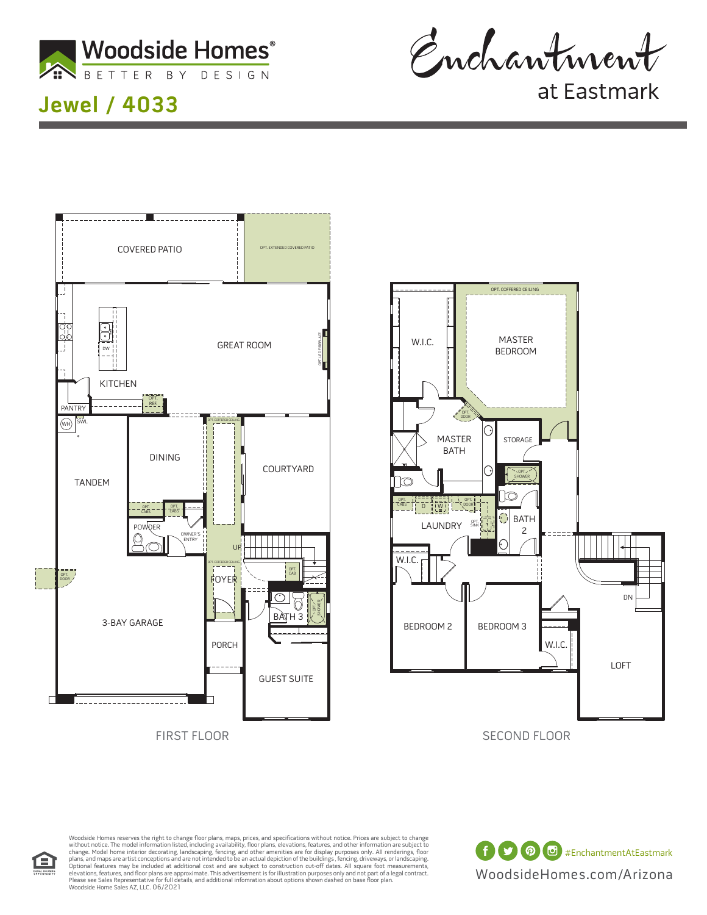

Enchantment

at Eastmark





Woodside Homes reserves the right to change floor plans, maps, prices, and specifications without notice. Prices are subject to change without notice. The model information listed, including availability, floor plans, elev

WoodsideHomes.com/Arizona f **9 0 d** #EnchantmentAtEastmark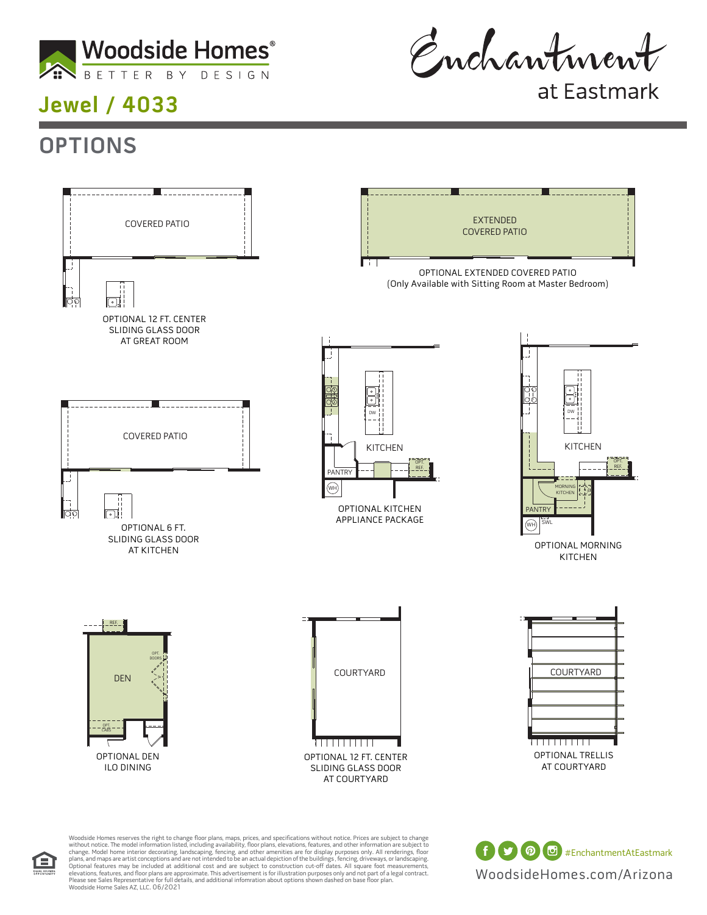

Enchantment

at Eastmark

## **OPTIONS**



Please see Sales Representative for full details, and additional infomration about options shown dashed on base floor plan.<br>Woodside Home Sales AZ, LLC. 08/2021